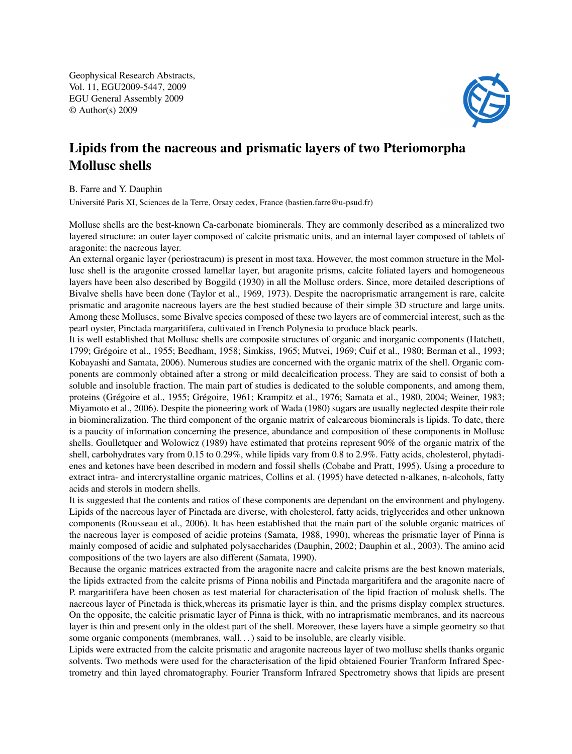Geophysical Research Abstracts, Vol. 11, EGU2009-5447, 2009 EGU General Assembly 2009 © Author(s) 2009



## Lipids from the nacreous and prismatic layers of two Pteriomorpha Mollusc shells

B. Farre and Y. Dauphin

Université Paris XI, Sciences de la Terre, Orsay cedex, France (bastien.farre@u-psud.fr)

Mollusc shells are the best-known Ca-carbonate biominerals. They are commonly described as a mineralized two layered structure: an outer layer composed of calcite prismatic units, and an internal layer composed of tablets of aragonite: the nacreous layer.

An external organic layer (periostracum) is present in most taxa. However, the most common structure in the Mollusc shell is the aragonite crossed lamellar layer, but aragonite prisms, calcite foliated layers and homogeneous layers have been also described by Boggild (1930) in all the Mollusc orders. Since, more detailed descriptions of Bivalve shells have been done (Taylor et al., 1969, 1973). Despite the nacroprismatic arrangement is rare, calcite prismatic and aragonite nacreous layers are the best studied because of their simple 3D structure and large units. Among these Molluscs, some Bivalve species composed of these two layers are of commercial interest, such as the pearl oyster, Pinctada margaritifera, cultivated in French Polynesia to produce black pearls.

It is well established that Mollusc shells are composite structures of organic and inorganic components (Hatchett, 1799; Grégoire et al., 1955; Beedham, 1958; Simkiss, 1965; Mutvei, 1969; Cuif et al., 1980; Berman et al., 1993; Kobayashi and Samata, 2006). Numerous studies are concerned with the organic matrix of the shell. Organic components are commonly obtained after a strong or mild decalcification process. They are said to consist of both a soluble and insoluble fraction. The main part of studies is dedicated to the soluble components, and among them, proteins (Grégoire et al., 1955; Grégoire, 1961; Krampitz et al., 1976; Samata et al., 1980, 2004; Weiner, 1983; Miyamoto et al., 2006). Despite the pioneering work of Wada (1980) sugars are usually neglected despite their role in biomineralization. The third component of the organic matrix of calcareous biominerals is lipids. To date, there is a paucity of information concerning the presence, abundance and composition of these components in Mollusc shells. Goulletquer and Wolowicz (1989) have estimated that proteins represent 90% of the organic matrix of the shell, carbohydrates vary from 0.15 to 0.29%, while lipids vary from 0.8 to 2.9%. Fatty acids, cholesterol, phytadienes and ketones have been described in modern and fossil shells (Cobabe and Pratt, 1995). Using a procedure to extract intra- and intercrystalline organic matrices, Collins et al. (1995) have detected n-alkanes, n-alcohols, fatty acids and sterols in modern shells.

It is suggested that the contents and ratios of these components are dependant on the environment and phylogeny. Lipids of the nacreous layer of Pinctada are diverse, with cholesterol, fatty acids, triglycerides and other unknown components (Rousseau et al., 2006). It has been established that the main part of the soluble organic matrices of the nacreous layer is composed of acidic proteins (Samata, 1988, 1990), whereas the prismatic layer of Pinna is mainly composed of acidic and sulphated polysaccharides (Dauphin, 2002; Dauphin et al., 2003). The amino acid compositions of the two layers are also different (Samata, 1990).

Because the organic matrices extracted from the aragonite nacre and calcite prisms are the best known materials, the lipids extracted from the calcite prisms of Pinna nobilis and Pinctada margaritifera and the aragonite nacre of P. margaritifera have been chosen as test material for characterisation of the lipid fraction of molusk shells. The nacreous layer of Pinctada is thick,whereas its prismatic layer is thin, and the prisms display complex structures. On the opposite, the calcitic prismatic layer of Pinna is thick, with no intraprismatic membranes, and its nacreous layer is thin and present only in the oldest part of the shell. Moreover, these layers have a simple geometry so that some organic components (membranes, wall. . . ) said to be insoluble, are clearly visible.

Lipids were extracted from the calcite prismatic and aragonite nacreous layer of two mollusc shells thanks organic solvents. Two methods were used for the characterisation of the lipid obtaiened Fourier Tranform Infrared Spectrometry and thin layed chromatography. Fourier Transform Infrared Spectrometry shows that lipids are present